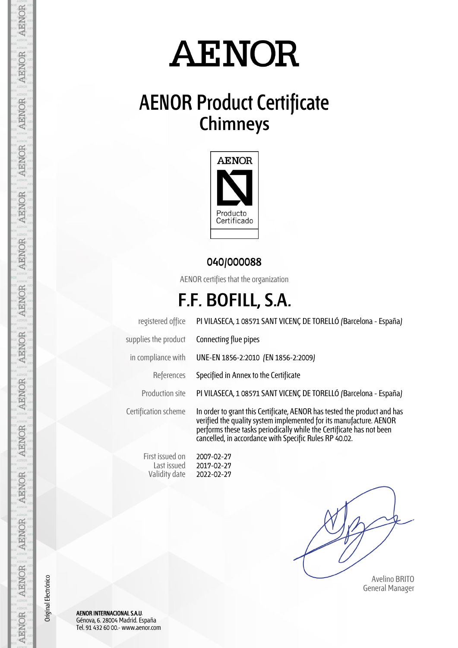# **AENOR**

### **AENOR Product Certificate Chimneys**



#### **040/000088**

AENOR certifies that the organization

### **F.F. BOFILL, S.A.**

registered office PI VILASECA, 1 08571 SANT VICENÇ DE TORELLÓ (Barcelona - España) supplies the product Connecting flue pipes in compliance with UNE-EN 1856-2:2010 (EN 1856-2:2009) References Specified in Annex to the Certificate Production site PI VILASECA, 1 08571 SANT VICENÇ DE TORELLÓ (Barcelona - España) Certification scheme In order to grant this Certificate, AENOR has tested the product and has verified the quality system implemented for its manufacture. AENOR performs these tasks periodically while the Certificate has not been cancelled, in accordance with Specific Rules RP 40.02. First issued on 2007-02-27

 Avelino BRITO General Manager

Last issued Validity date 2017-02-27 2022-02-27

AENOR INTERNACIONAL S.A.U. Génova, 6. 28004 Madrid. España Tel. 91 432 60 00.- www.aenor.com

Original Electrónico

Original Electrónico